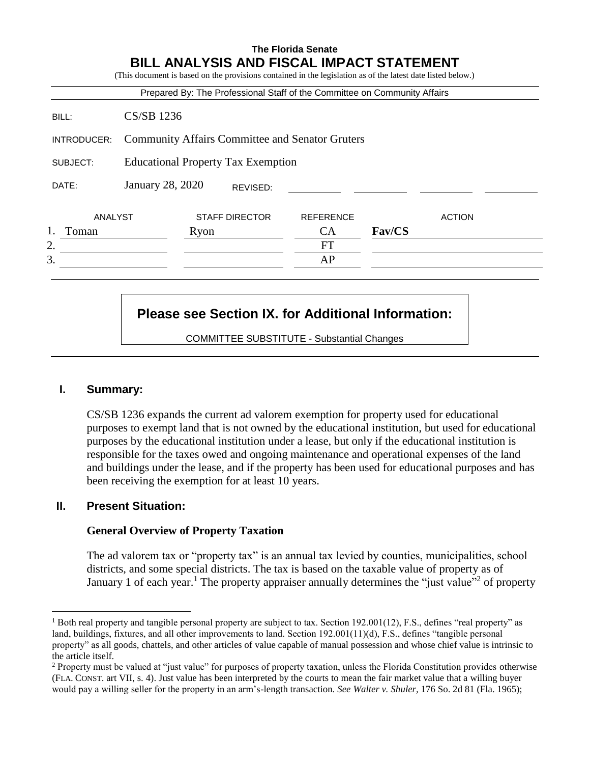# **The Florida Senate BILL ANALYSIS AND FISCAL IMPACT STATEMENT** (This document is based on the provisions contained in the legislation as of the latest date listed below.) Prepared By: The Professional Staff of the Committee on Community Affairs BILL: CS/SB 1236 INTRODUCER: Community Affairs Committee and Senator Gruters SUBJECT: Educational Property Tax Exemption DATE: January 28, 2020 ANALYST STAFF DIRECTOR REFERENCE ACTION 1. Toman Ryon CA **Fav/CS** 2. FT  $3.$  AP REVISED:

# **Please see Section IX. for Additional Information:**

COMMITTEE SUBSTITUTE - Substantial Changes

### **I. Summary:**

CS/SB 1236 expands the current ad valorem exemption for property used for educational purposes to exempt land that is not owned by the educational institution, but used for educational purposes by the educational institution under a lease, but only if the educational institution is responsible for the taxes owed and ongoing maintenance and operational expenses of the land and buildings under the lease, and if the property has been used for educational purposes and has been receiving the exemption for at least 10 years.

### **II. Present Situation:**

### **General Overview of Property Taxation**

The ad valorem tax or "property tax" is an annual tax levied by counties, municipalities, school districts, and some special districts. The tax is based on the taxable value of property as of January 1 of each year.<sup>1</sup> The property appraiser annually determines the "just value"<sup>2</sup> of property

 $\overline{a}$ <sup>1</sup> Both real property and tangible personal property are subject to tax. Section 192.001(12), F.S., defines "real property" as land, buildings, fixtures, and all other improvements to land. Section 192.001(11)(d), F.S., defines "tangible personal property" as all goods, chattels, and other articles of value capable of manual possession and whose chief value is intrinsic to the article itself.

<sup>2</sup> Property must be valued at "just value" for purposes of property taxation, unless the Florida Constitution provides otherwise (FLA. CONST. art VII, s. 4). Just value has been interpreted by the courts to mean the fair market value that a willing buyer would pay a willing seller for the property in an arm's-length transaction. *See Walter v. Shuler,* 176 So. 2d 81 (Fla. 1965);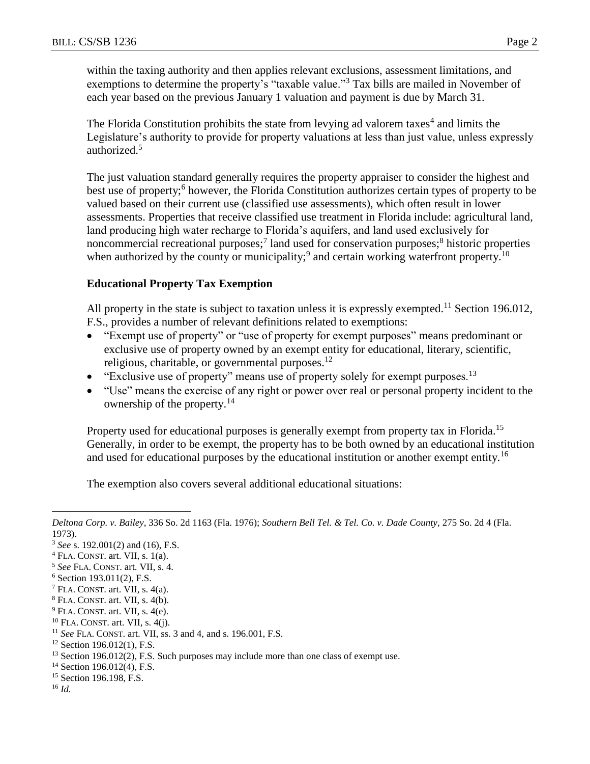within the taxing authority and then applies relevant exclusions, assessment limitations, and exemptions to determine the property's "taxable value."<sup>3</sup> Tax bills are mailed in November of each year based on the previous January 1 valuation and payment is due by March 31.

The Florida Constitution prohibits the state from levying ad valorem taxes<sup>4</sup> and limits the Legislature's authority to provide for property valuations at less than just value, unless expressly authorized.<sup>5</sup>

The just valuation standard generally requires the property appraiser to consider the highest and best use of property;<sup>6</sup> however, the Florida Constitution authorizes certain types of property to be valued based on their current use (classified use assessments), which often result in lower assessments. Properties that receive classified use treatment in Florida include: agricultural land, land producing high water recharge to Florida's aquifers, and land used exclusively for noncommercial recreational purposes;<sup>7</sup> land used for conservation purposes;<sup>8</sup> historic properties when authorized by the county or municipality;<sup>9</sup> and certain working waterfront property.<sup>10</sup>

### **Educational Property Tax Exemption**

All property in the state is subject to taxation unless it is expressly exempted.<sup>11</sup> Section 196.012, F.S., provides a number of relevant definitions related to exemptions:

- "Exempt use of property" or "use of property for exempt purposes" means predominant or exclusive use of property owned by an exempt entity for educational, literary, scientific, religious, charitable, or governmental purposes.<sup>12</sup>
- $\bullet$  "Exclusive use of property" means use of property solely for exempt purposes.<sup>13</sup>
- "Use" means the exercise of any right or power over real or personal property incident to the ownership of the property.<sup>14</sup>

Property used for educational purposes is generally exempt from property tax in Florida.<sup>15</sup> Generally, in order to be exempt, the property has to be both owned by an educational institution and used for educational purposes by the educational institution or another exempt entity.<sup>16</sup>

The exemption also covers several additional educational situations:

 $12$  Section 196.012(1), F.S.

<sup>16</sup> *Id.*

 $\overline{a}$ 

*Deltona Corp. v. Bailey*, 336 So. 2d 1163 (Fla. 1976); *Southern Bell Tel. & Tel. Co. v. Dade County,* 275 So. 2d 4 (Fla. 1973).

<sup>3</sup> *See* s. 192.001(2) and (16), F.S.

 $4$  FLA. CONST. art. VII, s. 1(a).

<sup>5</sup> *See* FLA. CONST. art. VII, s. 4.

<sup>6</sup> Section 193.011(2), F.S.

 $7$  FLA. CONST. art. VII, s. 4(a).

<sup>8</sup> FLA. CONST. art. VII, s. 4(b).

 $9$  FLA. CONST. art. VII, s. 4(e).

<sup>10</sup> FLA. CONST. art. VII, s. 4(j).

<sup>11</sup> *See* FLA. CONST. art. VII, ss. 3 and 4, and s. 196.001, F.S.

<sup>&</sup>lt;sup>13</sup> Section 196.012(2), F.S. Such purposes may include more than one class of exempt use.

<sup>&</sup>lt;sup>14</sup> Section 196.012(4), F.S.

<sup>&</sup>lt;sup>15</sup> Section 196.198, F.S.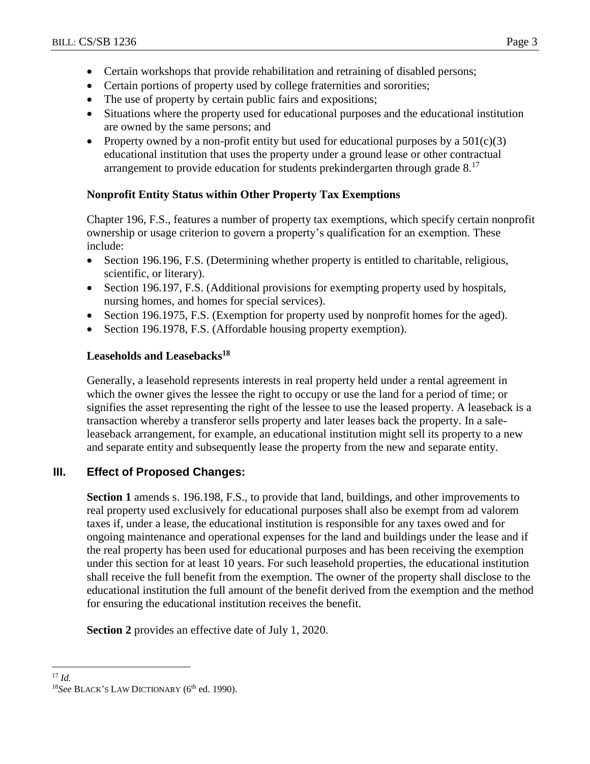- Certain workshops that provide rehabilitation and retraining of disabled persons;
- Certain portions of property used by college fraternities and sororities;
- The use of property by certain public fairs and expositions;
- Situations where the property used for educational purposes and the educational institution are owned by the same persons; and
- Property owned by a non-profit entity but used for educational purposes by a  $501(c)(3)$ educational institution that uses the property under a ground lease or other contractual arrangement to provide education for students prekindergarten through grade  $8^{17}$

# **Nonprofit Entity Status within Other Property Tax Exemptions**

Chapter 196, F.S., features a number of property tax exemptions, which specify certain nonprofit ownership or usage criterion to govern a property's qualification for an exemption. These include:

- Section 196.196, F.S. (Determining whether property is entitled to charitable, religious, scientific, or literary).
- Section 196.197, F.S. (Additional provisions for exempting property used by hospitals, nursing homes, and homes for special services).
- Section 196.1975, F.S. (Exemption for property used by nonprofit homes for the aged).
- Section 196.1978, F.S. (Affordable housing property exemption).

### **Leaseholds and Leasebacks<sup>18</sup>**

Generally, a leasehold represents interests in real property held under a rental agreement in which the owner gives the lessee the right to occupy or use the land for a period of time; or signifies the asset representing the right of the lessee to use the leased property. A leaseback is a transaction whereby a transferor sells property and later leases back the property. In a saleleaseback arrangement, for example, an educational institution might sell its property to a new and separate entity and subsequently lease the property from the new and separate entity.

# **III. Effect of Proposed Changes:**

**Section 1** amends s. 196.198, F.S., to provide that land, buildings, and other improvements to real property used exclusively for educational purposes shall also be exempt from ad valorem taxes if, under a lease, the educational institution is responsible for any taxes owed and for ongoing maintenance and operational expenses for the land and buildings under the lease and if the real property has been used for educational purposes and has been receiving the exemption under this section for at least 10 years. For such leasehold properties, the educational institution shall receive the full benefit from the exemption. The owner of the property shall disclose to the educational institution the full amount of the benefit derived from the exemption and the method for ensuring the educational institution receives the benefit.

**Section 2** provides an effective date of July 1, 2020.

 $\overline{a}$ 

<sup>17</sup> *Id.*

<sup>&</sup>lt;sup>18</sup>See BLACK'S LAW DICTIONARY (6<sup>th</sup> ed. 1990).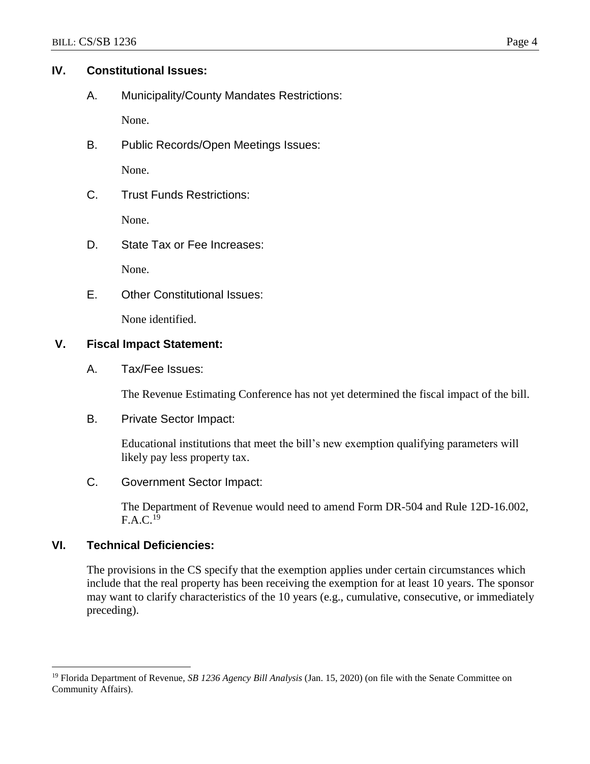# **IV. Constitutional Issues:**

A. Municipality/County Mandates Restrictions:

None.

B. Public Records/Open Meetings Issues:

None.

C. Trust Funds Restrictions:

None.

D. State Tax or Fee Increases:

None.

E. Other Constitutional Issues:

None identified.

# **V. Fiscal Impact Statement:**

A. Tax/Fee Issues:

The Revenue Estimating Conference has not yet determined the fiscal impact of the bill.

B. Private Sector Impact:

Educational institutions that meet the bill's new exemption qualifying parameters will likely pay less property tax.

C. Government Sector Impact:

The Department of Revenue would need to amend Form DR-504 and Rule 12D-16.002,  $F.A.C.<sup>19</sup>$ 

# **VI. Technical Deficiencies:**

 $\overline{a}$ 

The provisions in the CS specify that the exemption applies under certain circumstances which include that the real property has been receiving the exemption for at least 10 years. The sponsor may want to clarify characteristics of the 10 years (e.g., cumulative, consecutive, or immediately preceding).

<sup>19</sup> Florida Department of Revenue, *SB 1236 Agency Bill Analysis* (Jan. 15, 2020) (on file with the Senate Committee on Community Affairs).